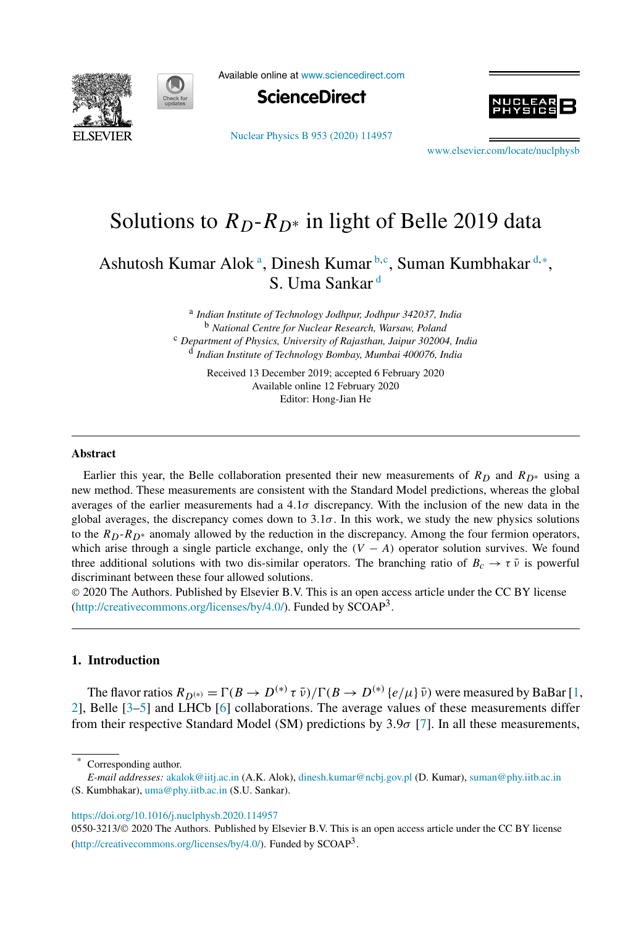



Available online at www.sciencedirect.com



Nuclear Physics B 953 (2020) 114957



www.elsevier.com/locate/nuclphysb

# Solutions to  $R_D-R_{D*}$  in light of Belle 2019 data

Ashutosh Kumar Alok<sup>a</sup>, Dinesh Kumar<sup>b,c</sup>, Suman Kumbhakar<sup>d,\*</sup>, S. Uma Sankar <sup>d</sup>

> a *Indian Institute of Technology Jodhpur, Jodhpur 342037, India* <sup>b</sup> *National Centre for Nuclear Research, Warsaw, Poland* <sup>c</sup> *Department of Physics, University of Rajasthan, Jaipur 302004, India* d *Indian Institute of Technology Bombay, Mumbai 400076, India*

> > Received 13 December 2019; accepted 6 February 2020 Available online 12 February 2020 Editor: Hong-Jian He

#### **Abstract**

Earlier this year, the Belle collaboration presented their new measurements of  $R_D$  and  $R_{D*}$  using a new method. These measurements are consistent with the Standard Model predictions, whereas the global averages of the earlier measurements had a 4.1σ discrepancy. With the inclusion of the new data in the global averages, the discrepancy comes down to  $3.1\sigma$ . In this work, we study the new physics solutions to the  $R_D$ - $R_D^*$  anomaly allowed by the reduction in the discrepancy. Among the four fermion operators, which arise through a single particle exchange, only the  $(V - A)$  operator solution survives. We found three additional solutions with two dis-similar operators. The branching ratio of  $B_c \to \tau \bar{\nu}$  is powerful discriminant between these four allowed solutions.

 2020 The Authors. Published by Elsevier B.V. This is an open access article under the CC BY license (http://creativecommons.org/licenses/by/4.0/). Funded by  $SCOAP<sup>3</sup>$ .

## **1. Introduction**

The flavor ratios  $R_{D^{(*)}} = \Gamma(B \to D^{(*)} \tau \bar{\nu}) / \Gamma(B \to D^{(*)} \{e/\mu\} \bar{\nu})$  were measured by BaBar [1, 2], Belle [3–5] and LHCb [6] collaborations. The average values of these measurements differ from their respective Standard Model (SM) predictions by  $3.9\sigma$  [7]. In all these measurements,

Corresponding author.

https://doi.org/10.1016/j.nuclphysb.2020.114957

0550-3213/© 2020 The Authors. Published by Elsevier B.V. This is an open access article under the CC BY license (http://creativecommons.org/licenses/by/4.0/). Funded by SCOAP<sup>3</sup>.

*E-mail addresses:* akalok@iitj.ac.in (A.K. Alok), dinesh.kumar@ncbj.gov.pl (D. Kumar), suman@phy.iitb.ac.in (S. Kumbhakar), uma@phy.iitb.ac.in (S.U. Sankar).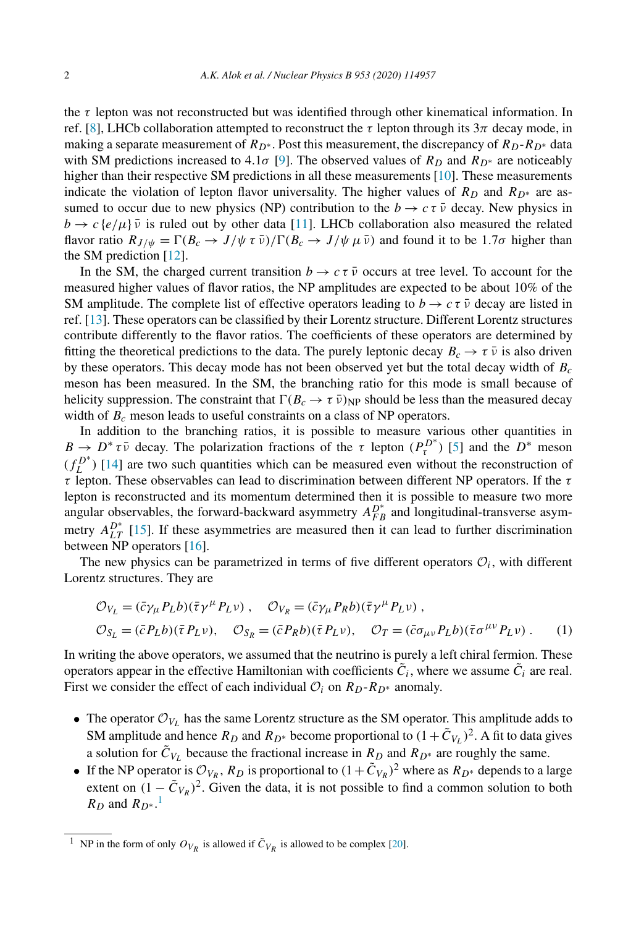the  $\tau$  lepton was not reconstructed but was identified through other kinematical information. In ref. [8], LHCb collaboration attempted to reconstruct the  $\tau$  lepton through its  $3\pi$  decay mode, in making a separate measurement of  $R_{D^*}$ . Post this measurement, the discrepancy of  $R_{D^*}R_{D^*}$  data with SM predictions increased to 4.1 $\sigma$  [9]. The observed values of  $R_D$  and  $R_{D^*}$  are noticeably higher than their respective SM predictions in all these measurements [10]. These measurements indicate the violation of lepton flavor universality. The higher values of  $R_D$  and  $R_{D^*}$  are assumed to occur due to new physics (NP) contribution to the  $b \to c \tau \bar{\nu}$  decay. New physics in  $b \to c \{e/\mu\}$  is ruled out by other data [11]. LHCb collaboration also measured the related flavor ratio  $R_{J/\psi} = \Gamma(B_c \to J/\psi \tau \bar{\nu})/\Gamma(B_c \to J/\psi \mu \bar{\nu})$  and found it to be 1.7 $\sigma$  higher than the SM prediction [12].

In the SM, the charged current transition  $b \to c \tau \bar{\nu}$  occurs at tree level. To account for the measured higher values of flavor ratios, the NP amplitudes are expected to be about 10% of the SM amplitude. The complete list of effective operators leading to  $b \to c \tau \bar{\nu}$  decay are listed in ref. [13]. These operators can be classified by their Lorentz structure. Different Lorentz structures contribute differently to the flavor ratios. The coefficients of these operators are determined by fitting the theoretical predictions to the data. The purely leptonic decay  $B_c \rightarrow \tau \bar{\nu}$  is also driven by these operators. This decay mode has not been observed yet but the total decay width of  $B_c$ meson has been measured. In the SM, the branching ratio for this mode is small because of helicity suppression. The constraint that  $\Gamma(B_c \to \tau \bar{\nu})$  NP should be less than the measured decay width of  $B_c$  meson leads to useful constraints on a class of NP operators.

In addition to the branching ratios, it is possible to measure various other quantities in  $B \to D^* \tau \bar{\nu}$  decay. The polarization fractions of the  $\tau$  lepton  $(P^{D^*}_{\tau})$  [5] and the  $D^*$  meson  $(f_L^{D^*})$  [14] are two such quantities which can be measured even without the reconstruction of τ lepton. These observables can lead to discrimination between different NP operators. If the τ lepton is reconstructed and its momentum determined then it is possible to measure two more angular observables, the forward-backward asymmetry  $A_{FB}^{D^*}$  and longitudinal-transverse asymmetry  $A_{LT}^{D^*}$  [15]. If these asymmetries are measured then it can lead to further discrimination between NP operators [16].

The new physics can be parametrized in terms of five different operators  $\mathcal{O}_i$ , with different Lorentz structures. They are

$$
\mathcal{O}_{V_L} = (\bar{c}\gamma_\mu P_L b)(\bar{\tau}\gamma^\mu P_L \nu) , \quad \mathcal{O}_{V_R} = (\bar{c}\gamma_\mu P_R b)(\bar{\tau}\gamma^\mu P_L \nu) ,
$$
  

$$
\mathcal{O}_{S_L} = (\bar{c}P_L b)(\bar{\tau}P_L \nu) , \quad \mathcal{O}_{S_R} = (\bar{c}P_R b)(\bar{\tau}P_L \nu) , \quad \mathcal{O}_T = (\bar{c}\sigma_{\mu\nu} P_L b)(\bar{\tau}\sigma^{\mu\nu} P_L \nu) . \tag{1}
$$

In writing the above operators, we assumed that the neutrino is purely a left chiral fermion. These operators appear in the effective Hamiltonian with coefficients  $C_i$ , where we assume  $C_i$  are real. First we consider the effect of each individual  $\mathcal{O}_i$  on  $R_D-R_{D^*}$  anomaly.

- The operator  $\mathcal{O}_{V_L}$  has the same Lorentz structure as the SM operator. This amplitude adds to SM amplitude and hence  $R_D$  and  $R_{D^*}$  become proportional to  $(1 + \tilde{C}_{V_L})^2$ . A fit to data gives a solution for  $C_{V_L}$  because the fractional increase in  $R_D$  and  $R_{D^*}$  are roughly the same.
- If the NP operator is  $\mathcal{O}_{V_R}$ ,  $R_D$  is proportional to  $(1 + \tilde{C}_{V_R})^2$  where as  $R_{D^*}$  depends to a large extent on  $(1 - \tilde{C}_{V_R})^2$ . Given the data, it is not possible to find a common solution to both  $R_D$  and  $R_{D^*}$ .<sup>1</sup>

<sup>&</sup>lt;sup>1</sup> NP in the form of only  $O_{V_R}$  is allowed if  $\tilde{C}_{V_R}$  is allowed to be complex [20].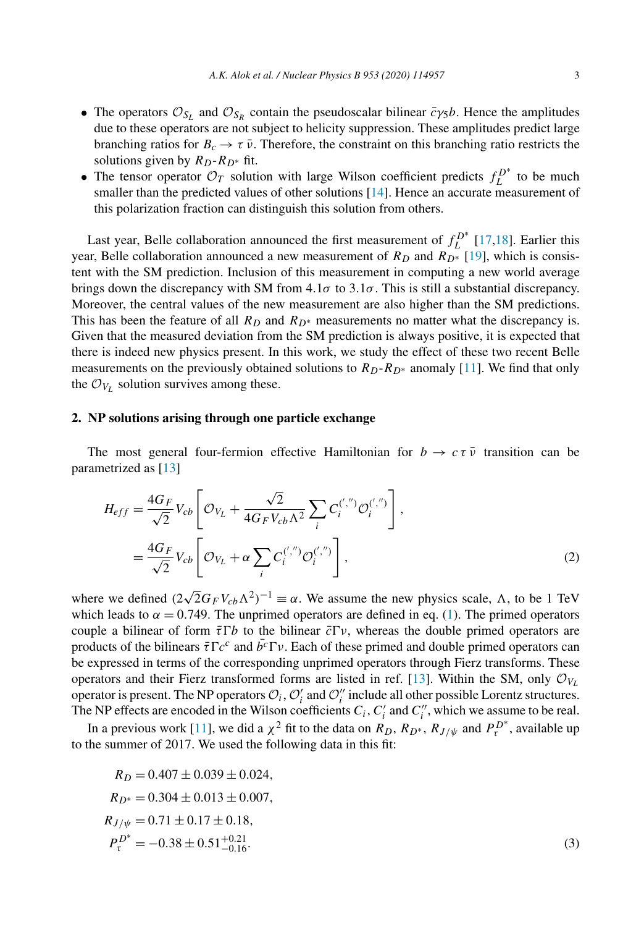- 
- The operators  $\mathcal{O}_{S_L}$  and  $\mathcal{O}_{S_R}$  contain the pseudoscalar bilinear  $\bar{c}_{\gamma 5}b$ . Hence the amplitudes due to these operators are not subject to helicity suppression. These amplitudes predict large branching ratios for  $B_c \to \tau \bar{\nu}$ . Therefore, the constraint on this branching ratio restricts the solutions given by  $R_D-R_{D*}$  fit.
- The tensor operator  $\mathcal{O}_T$  solution with large Wilson coefficient predicts  $f_L^{D^*}$  to be much smaller than the predicted values of other solutions [14]. Hence an accurate measurement of this polarization fraction can distinguish this solution from others.

Last year, Belle collaboration announced the first measurement of  $f_L^{D^*}$  [17,18]. Earlier this year, Belle collaboration announced a new measurement of  $R_D$  and  $R_{D*}$  [19], which is consistent with the SM prediction. Inclusion of this measurement in computing a new world average brings down the discrepancy with SM from  $4.1\sigma$  to  $3.1\sigma$ . This is still a substantial discrepancy. Moreover, the central values of the new measurement are also higher than the SM predictions. This has been the feature of all  $R_D$  and  $R_{D^*}$  measurements no matter what the discrepancy is. Given that the measured deviation from the SM prediction is always positive, it is expected that there is indeed new physics present. In this work, we study the effect of these two recent Belle measurements on the previously obtained solutions to  $R_D-R_D*$  anomaly [11]. We find that only the  $\mathcal{O}_{V_L}$  solution survives among these.

# **2. NP solutions arising through one particle exchange**

The most general four-fermion effective Hamiltonian for  $b \to c \tau \bar{\nu}$  transition can be parametrized as [13]

$$
H_{eff} = \frac{4G_F}{\sqrt{2}} V_{cb} \left[ \mathcal{O}_{V_L} + \frac{\sqrt{2}}{4G_F V_{cb} \Lambda^2} \sum_i C_i^{(','')} \mathcal{O}_i^{(','')} \right],
$$
  
= 
$$
\frac{4G_F}{\sqrt{2}} V_{cb} \left[ \mathcal{O}_{V_L} + \alpha \sum_i C_i^{(','')} \mathcal{O}_i^{(','')} \right],
$$
 (2)

where we defined  $(2\sqrt{2}G_F V_{cb} \Lambda^2)^{-1} \equiv \alpha$ . We assume the new physics scale,  $\Lambda$ , to be 1 TeV which leads to  $\alpha = 0.749$ . The unprimed operators are defined in eq. (1). The primed operators couple a bilinear of form  $\bar{\tau} \Gamma b$  to the bilinear  $\bar{c} \Gamma v$ , whereas the double primed operators are products of the bilinears  $\bar{\tau} \Gamma c^c$  and  $\bar{b}^c \Gamma v$ . Each of these primed and double primed operators can be expressed in terms of the corresponding unprimed operators through Fierz transforms. These operators and their Fierz transformed forms are listed in ref. [13]. Within the SM, only  $\mathcal{O}_{V_1}$ operator is present. The NP operators  $\mathcal{O}_i$ ,  $\mathcal{O}'_i$  and  $\mathcal{O}''_i$  include all other possible Lorentz structures. The NP effects are encoded in the Wilson coefficients  $C_i$ ,  $C'_i$  and  $C''_i$ , which we assume to be real.

In a previous work [11], we did a  $\chi^2$  fit to the data on  $R_D$ ,  $R_{D^*}$ ,  $R_{J/\psi}$  and  $P_{\tau}^{D^*}$ , available up to the summer of 2017. We used the following data in this fit:

$$
R_D = 0.407 \pm 0.039 \pm 0.024,
$$
  
\n
$$
R_{D^*} = 0.304 \pm 0.013 \pm 0.007,
$$
  
\n
$$
R_{J/\psi} = 0.71 \pm 0.17 \pm 0.18,
$$
  
\n
$$
P_{\tau}^{D^*} = -0.38 \pm 0.51_{-0.16}^{+0.21}.
$$
\n(3)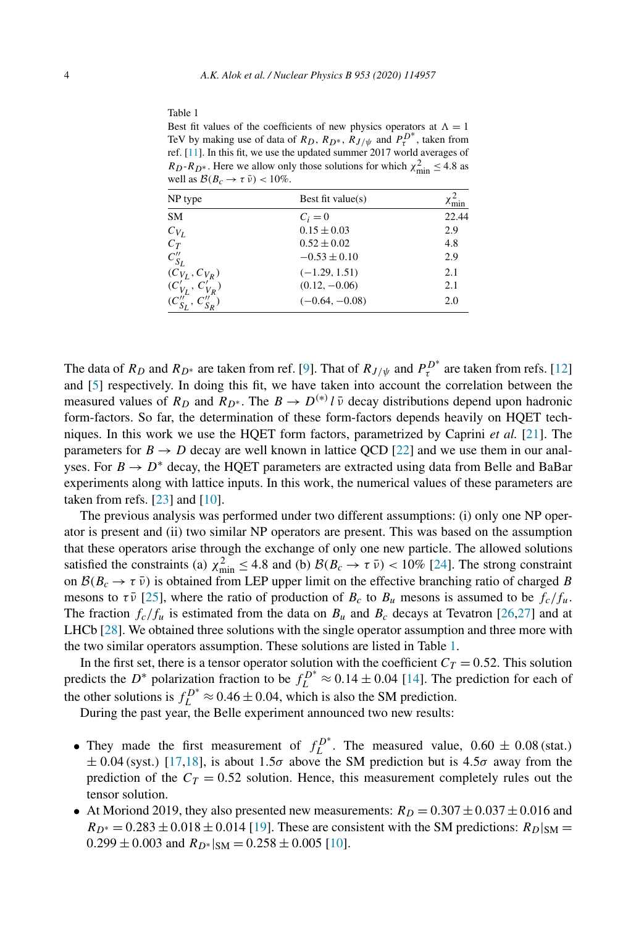Best fit values of the coefficients of new physics operators at  $\Lambda = 1$ TeV by making use of data of  $R_D$ ,  $R_{D^*}$ ,  $R_{J/\psi}$  and  $P_{\tau}^{D^*}$ , taken from ref. [11]. In this fit, we use the updated summer 2017 world averages of  $R_D$ - $R_D$ <sup>\*</sup>. Here we allow only those solutions for which  $\chi^2_{\text{min}} \leq 4.8$  as well as  $\mathcal{B}(B_c \to \tau \bar{\nu}) < 10\%$ .

| NP type                  | Best fit value $(s)$ | $\chi$ <sub>min</sub> |  |
|--------------------------|----------------------|-----------------------|--|
| <b>SM</b>                | $C_i=0$              | 22.44                 |  |
| $C_{V_L}$                | $0.15 \pm 0.03$      | 2.9                   |  |
| $C_T$                    | $0.52 \pm 0.02$      | 4.8                   |  |
| $C''_{S_L}$              | $-0.53 \pm 0.10$     | 2.9                   |  |
| $(C_{V_L}, C_{V_R})$     | $(-1.29, 1.51)$      | 2.1                   |  |
| $(C'_{V_L}, C'_{V_R})$   | $(0.12, -0.06)$      | 2.1                   |  |
| $(C''_{S_L}, C''_{S_R})$ | $(-0.64, -0.08)$     | 2.0                   |  |

The data of  $R_D$  and  $R_{D^*}$  are taken from ref. [9]. That of  $R_{J/\psi}$  and  $P_{\tau}^{D^*}$  are taken from refs. [12] and [5] respectively. In doing this fit, we have taken into account the correlation between the measured values of  $R_D$  and  $R_{D^*}$ . The  $B \to D^{(*)} l \bar{\nu}$  decay distributions depend upon hadronic form-factors. So far, the determination of these form-factors depends heavily on HQET techniques. In this work we use the HQET form factors, parametrized by Caprini *et al.* [21]. The parameters for  $B \to D$  decay are well known in lattice QCD [22] and we use them in our analyses. For  $B \to D^*$  decay, the HQET parameters are extracted using data from Belle and BaBar experiments along with lattice inputs. In this work, the numerical values of these parameters are taken from refs. [23] and [10].

The previous analysis was performed under two different assumptions: (i) only one NP operator is present and (ii) two similar NP operators are present. This was based on the assumption that these operators arise through the exchange of only one new particle. The allowed solutions satisfied the constraints (a)  $\chi^2_{\text{min}} \leq 4.8$  and (b)  $\mathcal{B}(B_c \to \tau \bar{\nu}) < 10\%$  [24]. The strong constraint on  $\mathcal{B}(B_c \to \tau \bar{\nu})$  is obtained from LEP upper limit on the effective branching ratio of charged B mesons to  $\tau \bar{\nu}$  [25], where the ratio of production of  $B_c$  to  $B_u$  mesons is assumed to be  $f_c/f_u$ . The fraction  $f_c/f_u$  is estimated from the data on  $B_u$  and  $B_c$  decays at Tevatron [26,27] and at LHCb [28]. We obtained three solutions with the single operator assumption and three more with the two similar operators assumption. These solutions are listed in Table 1.

In the first set, there is a tensor operator solution with the coefficient  $C_T = 0.52$ . This solution predicts the  $D^*$  polarization fraction to be  $f_L^{D^*} \approx 0.14 \pm 0.04$  [14]. The prediction for each of the other solutions is  $f_L^{D^*} \approx 0.46 \pm 0.04$ , which is also the SM prediction.

During the past year, the Belle experiment announced two new results:

- They made the first measurement of  $f_L^{D^*}$ . The measured value,  $0.60 \pm 0.08$  (stat.)  $\pm$  0.04 (syst.) [17,18], is about 1.5 $\sigma$  above the SM prediction but is 4.5 $\sigma$  away from the prediction of the  $C_T = 0.52$  solution. Hence, this measurement completely rules out the tensor solution.
- At Moriond 2019, they also presented new measurements:  $R_D = 0.307 \pm 0.037 \pm 0.016$  and  $R_{D^*} = 0.283 \pm 0.018 \pm 0.014$  [19]. These are consistent with the SM predictions:  $R_{D}|_{SM} =$  $0.299 \pm 0.003$  and  $R_{D*}|_{\text{SM}} = 0.258 \pm 0.005$  [10].

Table 1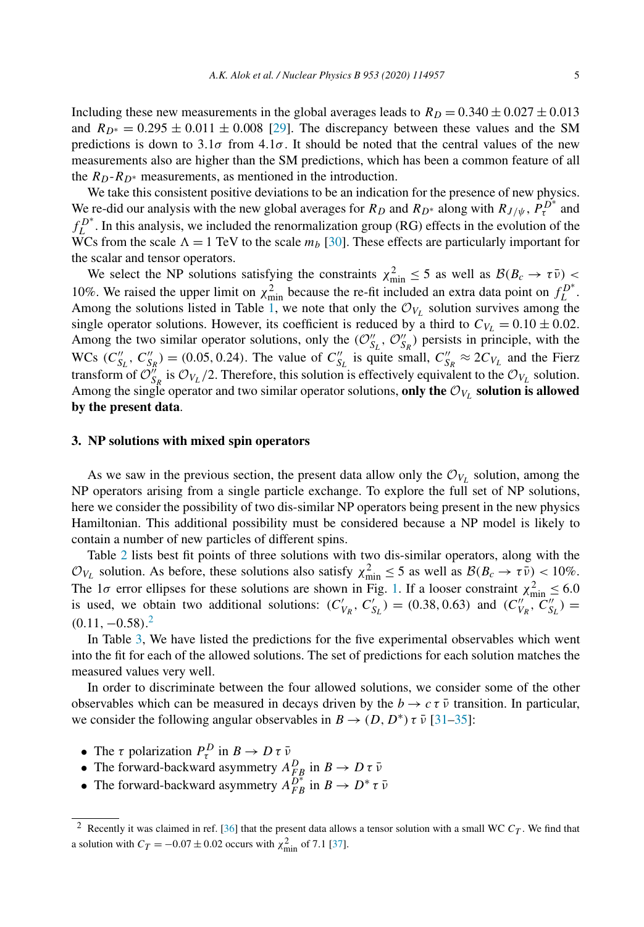Including these new measurements in the global averages leads to  $R_D = 0.340 \pm 0.027 \pm 0.013$ and  $R_{D^*} = 0.295 \pm 0.011 \pm 0.008$  [29]. The discrepancy between these values and the SM predictions is down to  $3.1\sigma$  from  $4.1\sigma$ . It should be noted that the central values of the new measurements also are higher than the SM predictions, which has been a common feature of all the  $R_D-R_{D^*}$  measurements, as mentioned in the introduction.

We take this consistent positive deviations to be an indication for the presence of new physics. We re-did our analysis with the new global averages for  $R_D$  and  $R_{D^*}$  along with  $R_{J/\psi}$ ,  $P_{\tau}^{D^*}$  and  $f_L^{D^*}$ . In this analysis, we included the renormalization group (RG) effects in the evolution of the WCs from the scale  $\Lambda = 1$  TeV to the scale  $m_b$  [30]. These effects are particularly important for the scalar and tensor operators.

We select the NP solutions satisfying the constraints  $\chi^2_{\text{min}} \leq 5$  as well as  $\mathcal{B}(B_c \to \tau \bar{\nu}) <$ 10%. We raised the upper limit on  $\chi^2_{\text{min}}$  because the re-fit included an extra data point on  $f_L^{D^*}$ . Among the solutions listed in Table 1, we note that only the  $\mathcal{O}_{V_L}$  solution survives among the single operator solutions. However, its coefficient is reduced by a third to  $C_{V_L} = 0.10 \pm 0.02$ . Among the two similar operator solutions, only the  $(\mathcal{O}_{S_L}^{\prime\prime}, \mathcal{O}_{S_R}^{\prime\prime})$  persists in principle, with the WCs  $(C''_{S_L}, C''_{S_R}) = (0.05, 0.24)$ . The value of  $C''_{S_L}$  is quite small,  $C''_{S_R} \approx 2C_{V_L}$  and the Fierz transform of  $\mathcal{O}_{S_R}^n$  is  $\mathcal{O}_{V_L}/2$ . Therefore, this solution is effectively equivalent to the  $\mathcal{O}_{V_L}$  solution. Among the single operator and two similar operator solutions, only the  $\mathcal{O}_{V_L}$  solution is allowed **by the present data**.

#### **3. NP solutions with mixed spin operators**

As we saw in the previous section, the present data allow only the  $\mathcal{O}_{V_L}$  solution, among the NP operators arising from a single particle exchange. To explore the full set of NP solutions, here we consider the possibility of two dis-similar NP operators being present in the new physics Hamiltonian. This additional possibility must be considered because a NP model is likely to contain a number of new particles of different spins.

Table 2 lists best fit points of three solutions with two dis-similar operators, along with the  $\mathcal{O}_{V_L}$  solution. As before, these solutions also satisfy  $\chi^2_{\text{min}} \le 5$  as well as  $\mathcal{B}(B_c \to \tau \bar{\nu}) < 10\%$ . The 1 $\sigma$  error ellipses for these solutions are shown in Fig. 1. If a looser constraint  $\chi^2_{\text{min}} \leq 6.0$ is used, we obtain two additional solutions:  $(C'_{V_R}, C'_{S_L}) = (0.38, 0.63)$  and  $(C''_{V_R}, C''_{S_L}) =$  $(0.11, -0.58).<sup>2</sup>$ 

In Table 3, We have listed the predictions for the five experimental observables which went into the fit for each of the allowed solutions. The set of predictions for each solution matches the measured values very well.

In order to discriminate between the four allowed solutions, we consider some of the other observables which can be measured in decays driven by the  $b \to c \tau \bar{\nu}$  transition. In particular, we consider the following angular observables in  $B \to (D, D^*) \tau \bar{\nu}$  [31–35]:

- The  $\tau$  polarization  $P_{\tau}^{D}$  in  $B \to D \tau \bar{\nu}$
- The forward-backward asymmetry  $A_{FB}^D$  in  $B \to D \tau \bar{\nu}$
- The forward-backward asymmetry  $A_{FB}^{D^*}$  in  $B \to D^* \tau \bar{\nu}$

<sup>&</sup>lt;sup>2</sup> Recently it was claimed in ref. [36] that the present data allows a tensor solution with a small WC  $C_T$ . We find that a solution with  $C_T = -0.07 \pm 0.02$  occurs with  $\chi^2_{\text{min}}$  of 7.1 [37].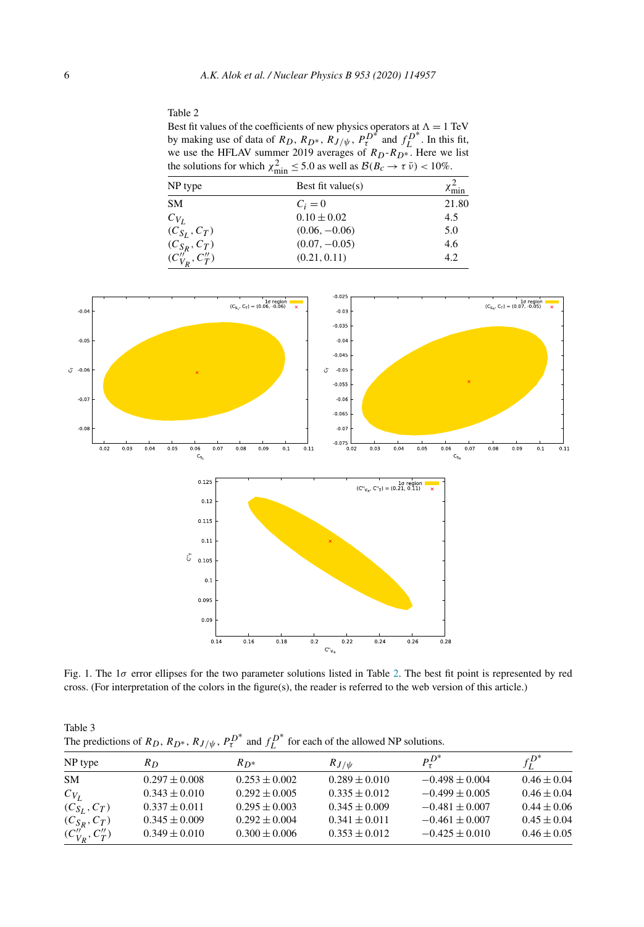#### Table 2

Best fit values of the coefficients of new physics operators at  $\Lambda = 1$  TeV by making use of data of  $R_D$ ,  $R_{D^*}$ ,  $R_{J/\psi}$ ,  $P_{\tau}^{D^*}$  and  $f_{L}^{D^*}$ . In this fit, we use the HFLAV summer 2019 averages of  $R_D-R_D^*$ . Here we list the solutions for which  $\chi^2_{\text{min}} \leq 5.0$  as well as  $\mathcal{B}(B_c \to \tau \bar{\nu}) < 10\%$ .

| NP type              | <br>Best fit value $(s)$ | $\chi^2_{\rm min}$ |
|----------------------|--------------------------|--------------------|
| <b>SM</b>            | $C_i=0$                  | 21.80              |
| $C_{V_I}$            | $0.10 \pm 0.02$          | 4.5                |
| $(C_{S_L}, C_T)$     | $(0.06, -0.06)$          | 5.0                |
| $(C_{S_R}, C_T)$     | $(0.07, -0.05)$          | 4.6                |
| $(C''_{V_R}, C''_T)$ | (0.21, 0.11)             | 4.2                |



Fig. 1. The 1σ error ellipses for the two parameter solutions listed in Table 2. The best fit point is represented by red cross. (For interpretation of the colors in the figure(s), the reader is referred to the web version of this article.)

Table 3 The predictions of  $R_D$ ,  $R_{D^*}$ ,  $R_{J/\psi}$ ,  $P_{\tau}^{D^*}$  and  $f_L^{D^*}$  for each of the allowed NP solutions.

| NP type                                 | R <sub>D</sub>    | $R_{D^*}$         | $R_{J/\psi}$      | $P_{\tau}^{D^*}$   | $f_r^{D^*}$     |
|-----------------------------------------|-------------------|-------------------|-------------------|--------------------|-----------------|
| <b>SM</b>                               | $0.297 \pm 0.008$ | $0.253 \pm 0.002$ | $0.289 \pm 0.010$ | $-0.498 \pm 0.004$ | $0.46 \pm 0.04$ |
| $C_{V_I}$                               | $0.343 \pm 0.010$ | $0.292 \pm 0.005$ | $0.335 \pm 0.012$ | $-0.499 \pm 0.005$ | $0.46 \pm 0.04$ |
| $(C_{S_I}, C_T)$                        | $0.337 \pm 0.011$ | $0.295 \pm 0.003$ | $0.345 \pm 0.009$ | $-0.481 \pm 0.007$ | $0.44 \pm 0.06$ |
|                                         | $0.345 \pm 0.009$ | $0.292 \pm 0.004$ | $0.341 \pm 0.011$ | $-0.461 \pm 0.007$ | $0.45 \pm 0.04$ |
| $(C_{S_R}, C_T)$<br>$(C_{V_R}', C_T'')$ | $0.349 \pm 0.010$ | $0.300 \pm 0.006$ | $0.353 \pm 0.012$ | $-0.425 + 0.010$   | $0.46 \pm 0.05$ |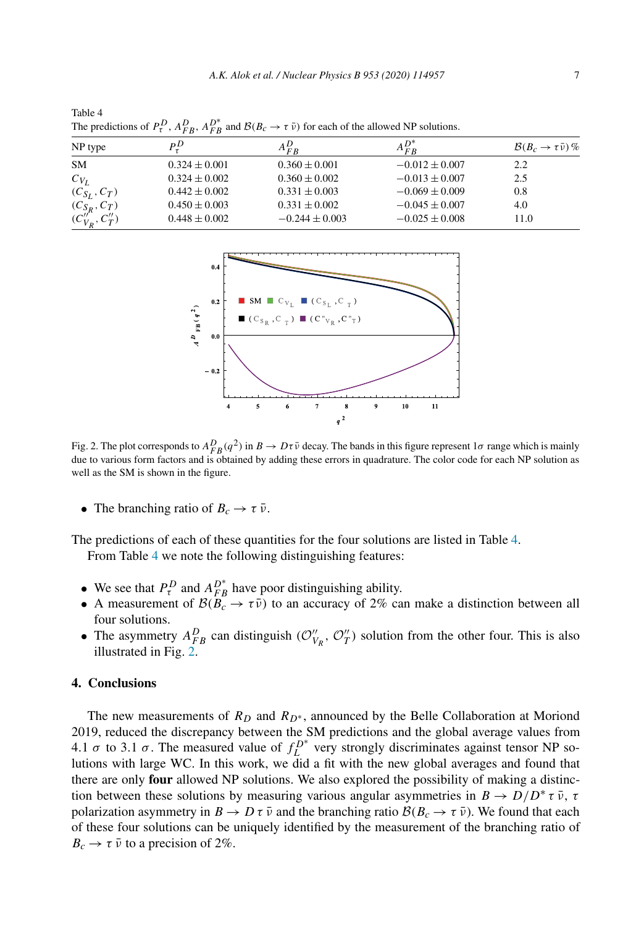| The predictions of $\mathcal{F}_f$ , $\mathcal{F}_f$ $\mathcal{F}_f$ $\mathcal{F}_f$ and $\mathcal{F}_f$ ( $\mathcal{F}_f$ ) for each of the anometer solutions. |                   |                    |                    |                                         |  |  |
|------------------------------------------------------------------------------------------------------------------------------------------------------------------|-------------------|--------------------|--------------------|-----------------------------------------|--|--|
| NP type                                                                                                                                                          | $P^D$             | $A_{FR}^{D}$       | $A_{FR}$           | $\mathcal{B}(B_c \to \tau \bar{\nu})\%$ |  |  |
| <b>SM</b>                                                                                                                                                        | $0.324 \pm 0.001$ | $0.360 \pm 0.001$  | $-0.012 \pm 0.007$ | 2.2                                     |  |  |
| $C_{V_L}$                                                                                                                                                        | $0.324 \pm 0.002$ | $0.360 \pm 0.002$  | $-0.013 \pm 0.007$ | 2.5                                     |  |  |
| $(C_{S_I}, C_T)$                                                                                                                                                 | $0.442 \pm 0.002$ | $0.331 \pm 0.003$  | $-0.069 \pm 0.009$ | 0.8                                     |  |  |
| $(C_{S_R}, C_T)$                                                                                                                                                 | $0.450 \pm 0.003$ | $0.331 \pm 0.002$  | $-0.045 \pm 0.007$ | 4.0                                     |  |  |
| $(C''_{V_R}, C''_T)$                                                                                                                                             | $0.448 \pm 0.002$ | $-0.244 \pm 0.003$ | $-0.025 \pm 0.008$ | 11.0                                    |  |  |

Table 4 The predictions of  $P_{\tau}^{D}$ ,  $A_{F}^{D}$  $_{FB}^{D}$ ,  $A_{FB}^{D^*}$  and  $\mathcal{B}(B_c \to \tau \bar{\nu})$  for each of the allowed NP solutions.



Fig. 2. The plot corresponds to  $A_{FB}^D(q^2)$  in  $B \to D\tau\bar{\nu}$  decay. The bands in this figure represent  $1\sigma$  range which is mainly due to various form factors and is obtained by adding these errors in quadrature. The color code for each NP solution as well as the SM is shown in the figure.

• The branching ratio of  $B_c \to \tau \bar{\nu}$ .

The predictions of each of these quantities for the four solutions are listed in Table 4. From Table 4 we note the following distinguishing features:

- We see that  $P_{\tau}^{D}$  and  $A_{FB}^{D*}$  have poor distinguishing ability.
- A measurement of  $\mathcal{B}(B_c \to \tau \bar{\nu})$  to an accuracy of 2% can make a distinction between all four solutions.
- The asymmetry  $A_{FB}^D$  can distinguish  $(\mathcal{O}_{V_R}^{\prime\prime}, \mathcal{O}_{T}^{\prime\prime})$  solution from the other four. This is also illustrated in Fig. 2.

## **4. Conclusions**

The new measurements of  $R_D$  and  $R_{D^*}$ , announced by the Belle Collaboration at Moriond 2019, reduced the discrepancy between the SM predictions and the global average values from 4.1  $\sigma$  to 3.1  $\sigma$ . The measured value of  $f_L^{D^*}$  very strongly discriminates against tensor NP solutions with large WC. In this work, we did a fit with the new global averages and found that there are only **four** allowed NP solutions. We also explored the possibility of making a distinction between these solutions by measuring various angular asymmetries in  $B \to D/D^* \tau \bar{\nu}$ ,  $\tau$ polarization asymmetry in  $B \to D \tau \bar{\nu}$  and the branching ratio  $\mathcal{B}(B_c \to \tau \bar{\nu})$ . We found that each of these four solutions can be uniquely identified by the measurement of the branching ratio of  $B_c \rightarrow \tau \bar{\nu}$  to a precision of 2%.